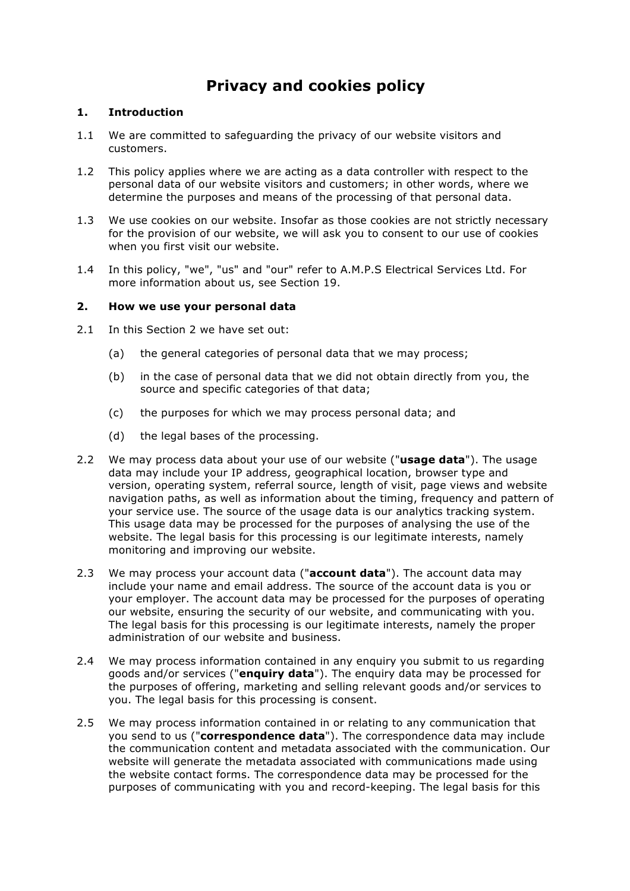# **Privacy and cookies policy**

# **1. Introduction**

- 1.1 We are committed to safeguarding the privacy of our website visitors and customers.
- 1.2 This policy applies where we are acting as a data controller with respect to the personal data of our website visitors and customers; in other words, where we determine the purposes and means of the processing of that personal data.
- 1.3 We use cookies on our website. Insofar as those cookies are not strictly necessary for the provision of our website, we will ask you to consent to our use of cookies when you first visit our website.
- 1.4 In this policy, "we", "us" and "our" refer to A.M.P.S Electrical Services Ltd. For more information about us, see Section 19.

#### **2. How we use your personal data**

- 2.1 In this Section 2 we have set out:
	- (a) the general categories of personal data that we may process;
	- (b) in the case of personal data that we did not obtain directly from you, the source and specific categories of that data;
	- (c) the purposes for which we may process personal data; and
	- (d) the legal bases of the processing.
- 2.2 We may process data about your use of our website ("**usage data**"). The usage data may include your IP address, geographical location, browser type and version, operating system, referral source, length of visit, page views and website navigation paths, as well as information about the timing, frequency and pattern of your service use. The source of the usage data is our analytics tracking system. This usage data may be processed for the purposes of analysing the use of the website. The legal basis for this processing is our legitimate interests, namely monitoring and improving our website.
- 2.3 We may process your account data ("**account data**"). The account data may include your name and email address. The source of the account data is you or your employer. The account data may be processed for the purposes of operating our website, ensuring the security of our website, and communicating with you. The legal basis for this processing is our legitimate interests, namely the proper administration of our website and business.
- 2.4 We may process information contained in any enquiry you submit to us regarding goods and/or services ("**enquiry data**"). The enquiry data may be processed for the purposes of offering, marketing and selling relevant goods and/or services to you. The legal basis for this processing is consent.
- 2.5 We may process information contained in or relating to any communication that you send to us ("**correspondence data**"). The correspondence data may include the communication content and metadata associated with the communication. Our website will generate the metadata associated with communications made using the website contact forms. The correspondence data may be processed for the purposes of communicating with you and record-keeping. The legal basis for this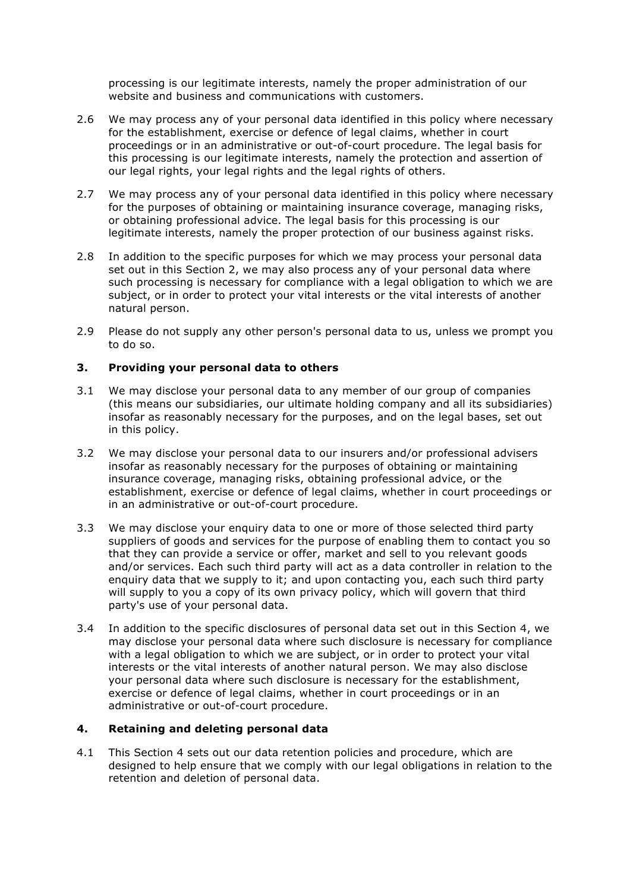processing is our legitimate interests, namely the proper administration of our website and business and communications with customers.

- 2.6 We may process any of your personal data identified in this policy where necessary for the establishment, exercise or defence of legal claims, whether in court proceedings or in an administrative or out-of-court procedure. The legal basis for this processing is our legitimate interests, namely the protection and assertion of our legal rights, your legal rights and the legal rights of others.
- 2.7 We may process any of your personal data identified in this policy where necessary for the purposes of obtaining or maintaining insurance coverage, managing risks, or obtaining professional advice. The legal basis for this processing is our legitimate interests, namely the proper protection of our business against risks.
- 2.8 In addition to the specific purposes for which we may process your personal data set out in this Section 2, we may also process any of your personal data where such processing is necessary for compliance with a legal obligation to which we are subject, or in order to protect your vital interests or the vital interests of another natural person.
- 2.9 Please do not supply any other person's personal data to us, unless we prompt you to do so.

# **3. Providing your personal data to others**

- 3.1 We may disclose your personal data to any member of our group of companies (this means our subsidiaries, our ultimate holding company and all its subsidiaries) insofar as reasonably necessary for the purposes, and on the legal bases, set out in this policy.
- 3.2 We may disclose your personal data to our insurers and/or professional advisers insofar as reasonably necessary for the purposes of obtaining or maintaining insurance coverage, managing risks, obtaining professional advice, or the establishment, exercise or defence of legal claims, whether in court proceedings or in an administrative or out-of-court procedure.
- 3.3 We may disclose your enquiry data to one or more of those selected third party suppliers of goods and services for the purpose of enabling them to contact you so that they can provide a service or offer, market and sell to you relevant goods and/or services. Each such third party will act as a data controller in relation to the enquiry data that we supply to it; and upon contacting you, each such third party will supply to you a copy of its own privacy policy, which will govern that third party's use of your personal data.
- 3.4 In addition to the specific disclosures of personal data set out in this Section 4, we may disclose your personal data where such disclosure is necessary for compliance with a legal obligation to which we are subject, or in order to protect your vital interests or the vital interests of another natural person. We may also disclose your personal data where such disclosure is necessary for the establishment, exercise or defence of legal claims, whether in court proceedings or in an administrative or out-of-court procedure.

#### **4. Retaining and deleting personal data**

4.1 This Section 4 sets out our data retention policies and procedure, which are designed to help ensure that we comply with our legal obligations in relation to the retention and deletion of personal data.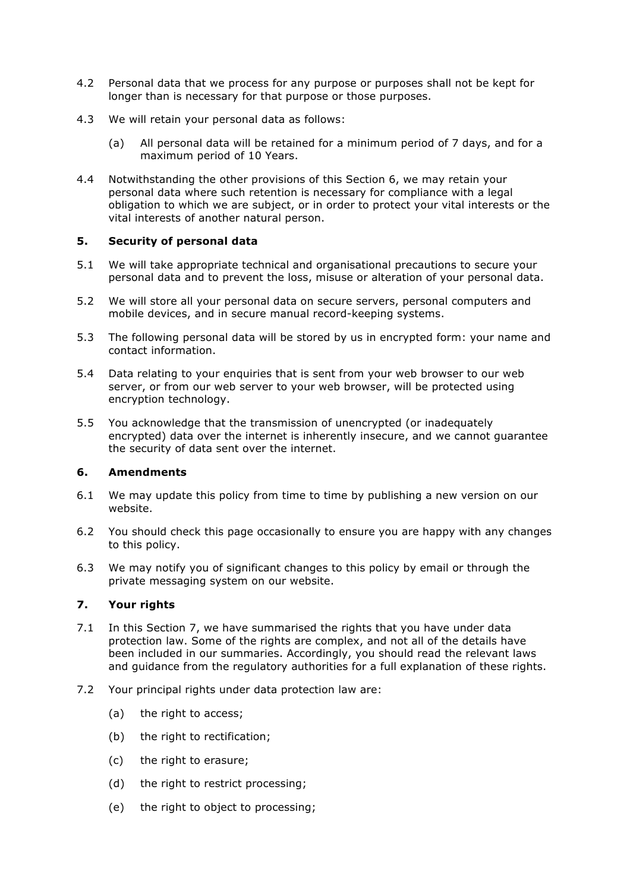- 4.2 Personal data that we process for any purpose or purposes shall not be kept for longer than is necessary for that purpose or those purposes.
- 4.3 We will retain your personal data as follows:
	- (a) All personal data will be retained for a minimum period of 7 days, and for a maximum period of 10 Years.
- 4.4 Notwithstanding the other provisions of this Section 6, we may retain your personal data where such retention is necessary for compliance with a legal obligation to which we are subject, or in order to protect your vital interests or the vital interests of another natural person.

#### **5. Security of personal data**

- 5.1 We will take appropriate technical and organisational precautions to secure your personal data and to prevent the loss, misuse or alteration of your personal data.
- 5.2 We will store all your personal data on secure servers, personal computers and mobile devices, and in secure manual record-keeping systems.
- 5.3 The following personal data will be stored by us in encrypted form: your name and contact information.
- 5.4 Data relating to your enquiries that is sent from your web browser to our web server, or from our web server to your web browser, will be protected using encryption technology.
- 5.5 You acknowledge that the transmission of unencrypted (or inadequately encrypted) data over the internet is inherently insecure, and we cannot guarantee the security of data sent over the internet.

#### **6. Amendments**

- 6.1 We may update this policy from time to time by publishing a new version on our website.
- 6.2 You should check this page occasionally to ensure you are happy with any changes to this policy.
- 6.3 We may notify you of significant changes to this policy by email or through the private messaging system on our website.

#### **7. Your rights**

- 7.1 In this Section 7, we have summarised the rights that you have under data protection law. Some of the rights are complex, and not all of the details have been included in our summaries. Accordingly, you should read the relevant laws and guidance from the regulatory authorities for a full explanation of these rights.
- 7.2 Your principal rights under data protection law are:
	- (a) the right to access;
	- (b) the right to rectification;
	- (c) the right to erasure;
	- (d) the right to restrict processing;
	- (e) the right to object to processing;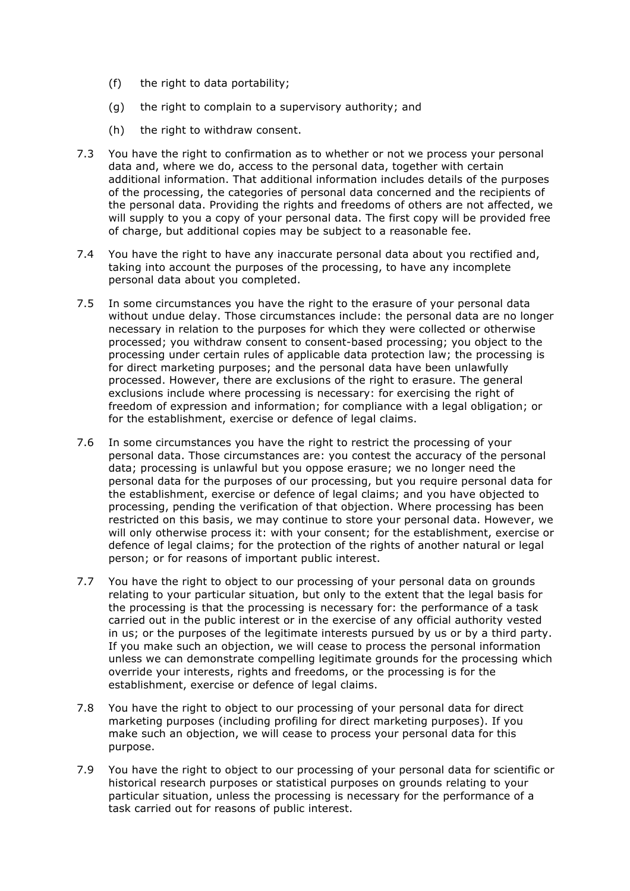- (f) the right to data portability;
- (g) the right to complain to a supervisory authority; and
- (h) the right to withdraw consent.
- 7.3 You have the right to confirmation as to whether or not we process your personal data and, where we do, access to the personal data, together with certain additional information. That additional information includes details of the purposes of the processing, the categories of personal data concerned and the recipients of the personal data. Providing the rights and freedoms of others are not affected, we will supply to you a copy of your personal data. The first copy will be provided free of charge, but additional copies may be subject to a reasonable fee.
- 7.4 You have the right to have any inaccurate personal data about you rectified and, taking into account the purposes of the processing, to have any incomplete personal data about you completed.
- 7.5 In some circumstances you have the right to the erasure of your personal data without undue delay. Those circumstances include: the personal data are no longer necessary in relation to the purposes for which they were collected or otherwise processed; you withdraw consent to consent-based processing; you object to the processing under certain rules of applicable data protection law; the processing is for direct marketing purposes; and the personal data have been unlawfully processed. However, there are exclusions of the right to erasure. The general exclusions include where processing is necessary: for exercising the right of freedom of expression and information; for compliance with a legal obligation; or for the establishment, exercise or defence of legal claims.
- 7.6 In some circumstances you have the right to restrict the processing of your personal data. Those circumstances are: you contest the accuracy of the personal data; processing is unlawful but you oppose erasure; we no longer need the personal data for the purposes of our processing, but you require personal data for the establishment, exercise or defence of legal claims; and you have objected to processing, pending the verification of that objection. Where processing has been restricted on this basis, we may continue to store your personal data. However, we will only otherwise process it: with your consent; for the establishment, exercise or defence of legal claims; for the protection of the rights of another natural or legal person; or for reasons of important public interest.
- 7.7 You have the right to object to our processing of your personal data on grounds relating to your particular situation, but only to the extent that the legal basis for the processing is that the processing is necessary for: the performance of a task carried out in the public interest or in the exercise of any official authority vested in us; or the purposes of the legitimate interests pursued by us or by a third party. If you make such an objection, we will cease to process the personal information unless we can demonstrate compelling legitimate grounds for the processing which override your interests, rights and freedoms, or the processing is for the establishment, exercise or defence of legal claims.
- 7.8 You have the right to object to our processing of your personal data for direct marketing purposes (including profiling for direct marketing purposes). If you make such an objection, we will cease to process your personal data for this purpose.
- 7.9 You have the right to object to our processing of your personal data for scientific or historical research purposes or statistical purposes on grounds relating to your particular situation, unless the processing is necessary for the performance of a task carried out for reasons of public interest.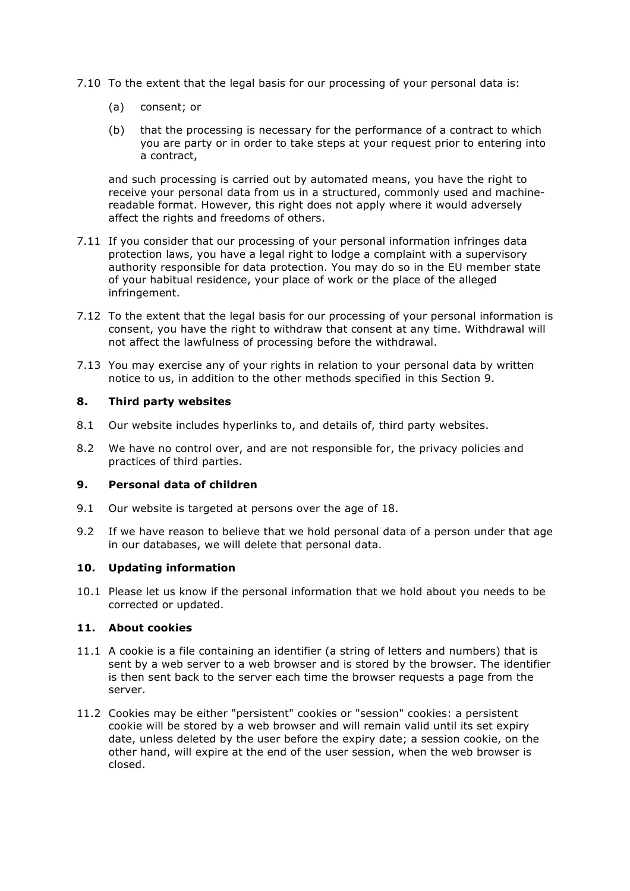- 7.10 To the extent that the legal basis for our processing of your personal data is:
	- (a) consent; or
	- (b) that the processing is necessary for the performance of a contract to which you are party or in order to take steps at your request prior to entering into a contract,

and such processing is carried out by automated means, you have the right to receive your personal data from us in a structured, commonly used and machinereadable format. However, this right does not apply where it would adversely affect the rights and freedoms of others.

- 7.11 If you consider that our processing of your personal information infringes data protection laws, you have a legal right to lodge a complaint with a supervisory authority responsible for data protection. You may do so in the EU member state of your habitual residence, your place of work or the place of the alleged infringement.
- 7.12 To the extent that the legal basis for our processing of your personal information is consent, you have the right to withdraw that consent at any time. Withdrawal will not affect the lawfulness of processing before the withdrawal.
- 7.13 You may exercise any of your rights in relation to your personal data by written notice to us, in addition to the other methods specified in this Section 9.

#### **8. Third party websites**

- 8.1 Our website includes hyperlinks to, and details of, third party websites.
- 8.2 We have no control over, and are not responsible for, the privacy policies and practices of third parties.

#### **9. Personal data of children**

- 9.1 Our website is targeted at persons over the age of 18.
- 9.2 If we have reason to believe that we hold personal data of a person under that age in our databases, we will delete that personal data.

#### **10. Updating information**

10.1 Please let us know if the personal information that we hold about you needs to be corrected or updated.

#### **11. About cookies**

- 11.1 A cookie is a file containing an identifier (a string of letters and numbers) that is sent by a web server to a web browser and is stored by the browser. The identifier is then sent back to the server each time the browser requests a page from the server.
- 11.2 Cookies may be either "persistent" cookies or "session" cookies: a persistent cookie will be stored by a web browser and will remain valid until its set expiry date, unless deleted by the user before the expiry date; a session cookie, on the other hand, will expire at the end of the user session, when the web browser is closed.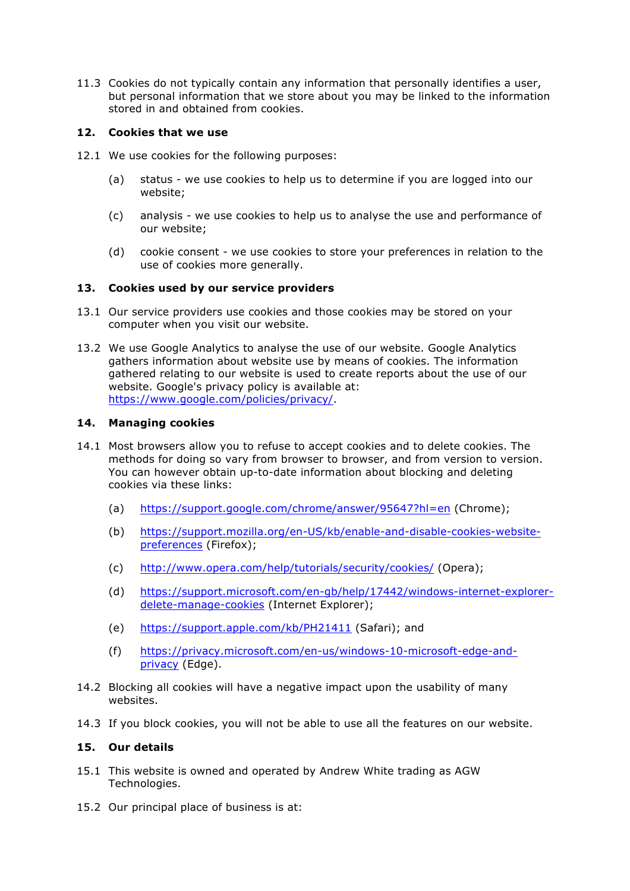11.3 Cookies do not typically contain any information that personally identifies a user, but personal information that we store about you may be linked to the information stored in and obtained from cookies.

# **12. Cookies that we use**

- 12.1 We use cookies for the following purposes:
	- (a) status we use cookies to help us to determine if you are logged into our website;
	- (c) analysis we use cookies to help us to analyse the use and performance of our website;
	- (d) cookie consent we use cookies to store your preferences in relation to the use of cookies more generally.

# **13. Cookies used by our service providers**

- 13.1 Our service providers use cookies and those cookies may be stored on your computer when you visit our website.
- 13.2 We use Google Analytics to analyse the use of our website. Google Analytics gathers information about website use by means of cookies. The information gathered relating to our website is used to create reports about the use of our website. Google's privacy policy is available at: https://www.google.com/policies/privacy/.

#### **14. Managing cookies**

- 14.1 Most browsers allow you to refuse to accept cookies and to delete cookies. The methods for doing so vary from browser to browser, and from version to version. You can however obtain up-to-date information about blocking and deleting cookies via these links:
	- (a) https://support.google.com/chrome/answer/95647?hl=en (Chrome);
	- (b) https://support.mozilla.org/en-US/kb/enable-and-disable-cookies-websitepreferences (Firefox);
	- (c) http://www.opera.com/help/tutorials/security/cookies/ (Opera);
	- (d) https://support.microsoft.com/en-gb/help/17442/windows-internet-explorerdelete-manage-cookies (Internet Explorer);
	- (e) https://support.apple.com/kb/PH21411 (Safari); and
	- (f) https://privacy.microsoft.com/en-us/windows-10-microsoft-edge-andprivacy (Edge).
- 14.2 Blocking all cookies will have a negative impact upon the usability of many websites.
- 14.3 If you block cookies, you will not be able to use all the features on our website.

### **15. Our details**

- 15.1 This website is owned and operated by Andrew White trading as AGW Technologies.
- 15.2 Our principal place of business is at: